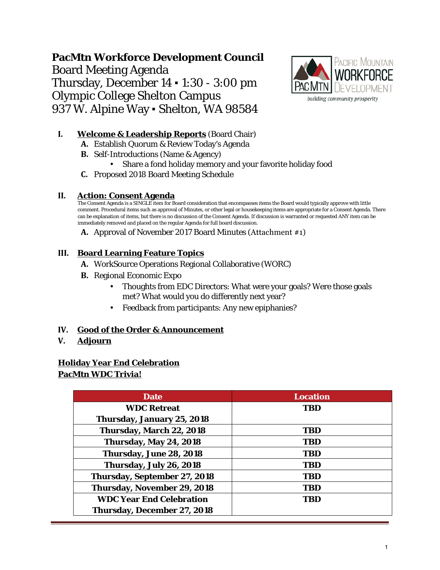# **PacMtn Workforce Development Council** Board Meeting Agenda Thursday, December 14 ▪ 1:30 - 3:00 pm Olympic College Shelton Campus 937 W. Alpine Way . Shelton, WA 98584



### **I. Welcome & Leadership Reports** (Board Chair)

- **A.** Establish Quorum & Review Today's Agenda
- **B.** Self-Introductions (Name & Agency)
- Share a fond holiday memory and your favorite holiday food
- **C.** Proposed 2018 Board Meeting Schedule

### **II. Action: Consent Agenda**

The Consent Agenda is a SINGLE item for Board consideration that encompasses items the Board would typically approve with little comment. Procedural items such as approval of Minutes, or other legal or housekeeping items are appropriate for a Consent Agenda. There can be explanation of items, but there is no discussion of the Consent Agenda. If discussion is warranted or requested ANY item can be immediately removed and placed on the regular Agenda for full board discussion.

**A.** Approval of November 2017 Board Minutes (Attachment #1)

### **III. Board Learning Feature Topics**

- **A.** WorkSource Operations Regional Collaborative (WORC)
- **B.** Regional Economic Expo
	- Thoughts from EDC Directors: What were your goals? Were those goals met? What would you do differently next year?
	- Feedback from participants: Any new epiphanies?

### **IV. Good of the Order & Announcement**

**V. Adjourn**

### **Holiday Year End Celebration PacMtn WDC Trivia!**

| <b>Date</b>                     | <b>Location</b> |
|---------------------------------|-----------------|
| <b>WDC Retreat</b>              | <b>TBD</b>      |
| Thursday, January 25, 2018      |                 |
| Thursday, March 22, 2018        | <b>TBD</b>      |
| <b>Thursday, May 24, 2018</b>   | <b>TBD</b>      |
| Thursday, June 28, 2018         | <b>TBD</b>      |
| Thursday, July 26, 2018         | <b>TBD</b>      |
| Thursday, September 27, 2018    | <b>TBD</b>      |
| Thursday, November 29, 2018     | <b>TBD</b>      |
| <b>WDC Year End Celebration</b> | TBD             |
| Thursday, December 27, 2018     |                 |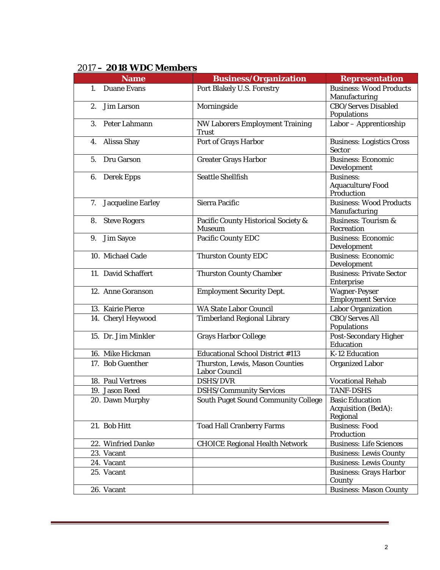| , 20 U WAULINGA U<br><b>Name</b> | <b>Business/Organization</b>                            | <b>Representation</b>                                            |
|----------------------------------|---------------------------------------------------------|------------------------------------------------------------------|
| <b>Duane Evans</b><br>1.         | Port Blakely U.S. Forestry                              | <b>Business: Wood Products</b><br>Manufacturing                  |
| 2.<br>Jim Larson                 | Morningside                                             | <b>CBO/Serves Disabled</b><br><b>Populations</b>                 |
| 3.<br>Peter Lahmann              | <b>NW Laborers Employment Training</b><br><b>Trust</b>  | Labor - Apprenticeship                                           |
| 4.<br>Alissa Shay                | Port of Grays Harbor                                    | <b>Business: Logistics Cross</b><br><b>Sector</b>                |
| 5.<br>Dru Garson                 | <b>Greater Grays Harbor</b>                             | <b>Business: Economic</b><br>Development                         |
| 6.<br><b>Derek Epps</b>          | <b>Seattle Shellfish</b>                                | <b>Business:</b><br>Aquaculture/Food<br>Production               |
| 7.<br><b>Jacqueline Earley</b>   | <b>Sierra Pacific</b>                                   | <b>Business: Wood Products</b><br>Manufacturing                  |
| <b>Steve Rogers</b><br>8.        | Pacific County Historical Society &<br><b>Museum</b>    | <b>Business: Tourism &amp;</b><br>Recreation                     |
| 9.<br><b>Jim Sayce</b>           | <b>Pacific County EDC</b>                               | <b>Business: Economic</b><br>Development                         |
| 10. Michael Cade                 | <b>Thurston County EDC</b>                              | <b>Business: Economic</b><br>Development                         |
| 11. David Schaffert              | <b>Thurston County Chamber</b>                          | <b>Business: Private Sector</b><br>Enterprise                    |
| 12. Anne Goranson                | <b>Employment Security Dept.</b>                        | <b>Wagner-Peyser</b><br><b>Employment Service</b>                |
| 13. Kairie Pierce                | <b>WA State Labor Council</b>                           | Labor Organization                                               |
| 14. Cheryl Heywood               | <b>Timberland Regional Library</b>                      | <b>CBO/Serves All</b><br><b>Populations</b>                      |
| 15. Dr. Jim Minkler              | <b>Grays Harbor College</b>                             | <b>Post-Secondary Higher</b><br>Education                        |
| 16. Mike Hickman                 | <b>Educational School District #113</b>                 | K-12 Education                                                   |
| 17. Bob Guenther                 | Thurston, Lewis, Mason Counties<br><b>Labor Council</b> | <b>Organized Labor</b>                                           |
| 18. Paul Vertrees                | DSHS/DVR                                                | <b>Vocational Rehab</b>                                          |
| 19. Jason Reed                   | <b>DSHS/Community Services</b>                          | <b>TANF-DSHS</b>                                                 |
| 20. Dawn Murphy                  | <b>South Puget Sound Community College</b>              | <b>Basic Education</b><br><b>Acquisition (BedA):</b><br>Regional |
| 21. Bob Hitt                     | <b>Toad Hall Cranberry Farms</b>                        | <b>Business: Food</b><br>Production                              |
| 22. Winfried Danke               | <b>CHOICE Regional Health Network</b>                   | <b>Business: Life Sciences</b>                                   |
| 23. Vacant                       |                                                         | <b>Business: Lewis County</b>                                    |
| 24. Vacant                       |                                                         | <b>Business: Lewis County</b>                                    |
| 25. Vacant                       |                                                         | <b>Business: Grays Harbor</b><br>County                          |
| 26. Vacant                       |                                                         | <b>Business: Mason County</b>                                    |

### 2017 **– 2018 WDC Members**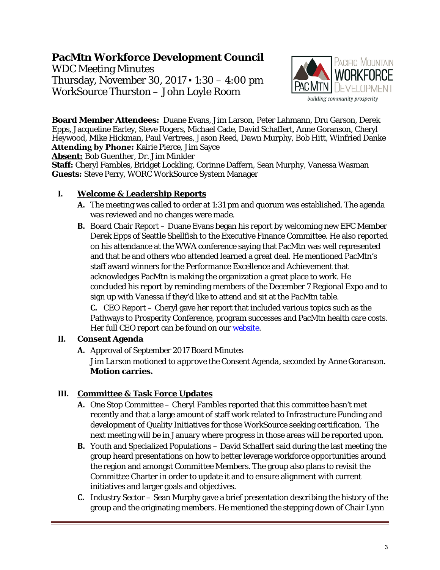# **PacMtn Workforce Development Council**

WDC Meeting Minutes Thursday, November 30, 2017 ▪ 1:30 – 4:00 pm WorkSource Thurston – John Loyle Room



**Board Member Attendees:** Duane Evans, Jim Larson, Peter Lahmann, Dru Garson, Derek Epps, Jacqueline Earley, Steve Rogers, Michael Cade, David Schaffert, Anne Goranson, Cheryl Heywood, Mike Hickman, Paul Vertrees, Jason Reed, Dawn Murphy, Bob Hitt, Winfried Danke **Attending by Phone:** Kairie Pierce, Jim Sayce

**Absent:** Bob Guenther, Dr. Jim Minkler

**Staff:** Cheryl Fambles, Bridget Lockling, Corinne Daffern, Sean Murphy, Vanessa Wasman **Guests:** Steve Perry, WORC WorkSource System Manager

### **I. Welcome & Leadership Reports**

- **A.** The meeting was called to order at 1:31 pm and quorum was established. The agenda was reviewed and no changes were made.
- **B.** Board Chair Report Duane Evans began his report by welcoming new EFC Member Derek Epps of Seattle Shellfish to the Executive Finance Committee. He also reported on his attendance at the WWA conference saying that PacMtn was well represented and that he and others who attended learned a great deal. He mentioned PacMtn's staff award winners for the Performance Excellence and Achievement that acknowledges PacMtn is making the organization a great place to work. He concluded his report by reminding members of the December 7 Regional Expo and to sign up with Vanessa if they'd like to attend and sit at the PacMtn table.

**C.** CEO Report – Cheryl gave her report that included various topics such as the Pathways to Prosperity Conference, program successes and PacMtn health care costs. Her full CEO report can be found on ou[r website.](http://www.pacmtn.org/wp-content/uploads/CEO-Report-November-2017-Final-2.pdf)

## **II. Consent Agenda**

**A.** Approval of September 2017 Board Minutes

*Jim Larson motioned to approve the Consent Agenda, seconded by Anne Goranson.*  **Motion carries.**

## **III. Committee & Task Force Updates**

- **A.** One Stop Committee Cheryl Fambles reported that this committee hasn't met recently and that a large amount of staff work related to Infrastructure Funding and development of Quality Initiatives for those WorkSource seeking certification. The next meeting will be in January where progress in those areas will be reported upon.
- **B.** Youth and Specialized Populations David Schaffert said during the last meeting the group heard presentations on how to better leverage workforce opportunities around the region and amongst Committee Members. The group also plans to revisit the Committee Charter in order to update it and to ensure alignment with current initiatives and larger goals and objectives.
- **C.** Industry Sector Sean Murphy gave a brief presentation describing the history of the group and the originating members. He mentioned the stepping down of Chair Lynn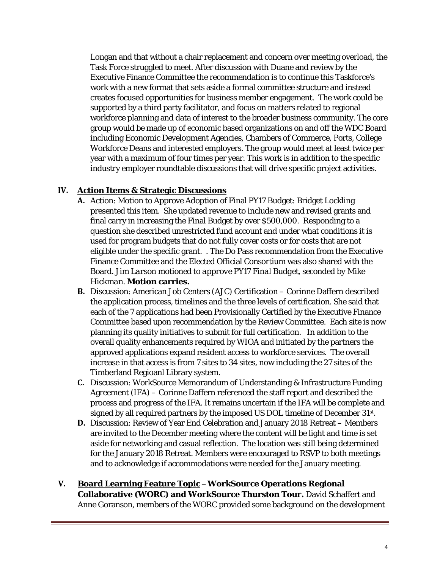Longan and that without a chair replacement and concern over meeting overload, the Task Force struggled to meet. After discussion with Duane and review by the Executive Finance Committee the recommendation is to continue this Taskforce's work with a new format that sets aside a formal committee structure and instead creates focused opportunities for business member engagement. The work could be supported by a third party facilitator, and focus on matters related to regional workforce planning and data of interest to the broader business community. The core group would be made up of economic based organizations on and off the WDC Board including Economic Development Agencies, Chambers of Commerce, Ports, College Workforce Deans and interested employers. The group would meet at least twice per year with a maximum of four times per year. This work is in addition to the specific industry employer roundtable discussions that will drive specific project activities.

### **IV. Action Items & Strategic Discussions**

- **A.** Action: Motion to Approve Adoption of Final PY17 Budget: Bridget Lockling presented this item. She updated revenue to include new and revised grants and final carry in increasing the Final Budget by over \$500,000. Responding to a question she described unrestricted fund account and under what conditions it is used for program budgets that do not fully cover costs or for costs that are not eligible under the specific grant. . The Do Pass recommendation from the Executive Finance Committee and the Elected Official Consortium was also shared with the Board. *Jim Larson motioned to approve PY17 Final Budget, seconded by Mike Hickman.* **Motion carries.**
- **B.** Discussion: American Job Centers (AJC) Certification Corinne Daffern described the application process, timelines and the three levels of certification. She said that each of the 7 applications had been Provisionally Certified by the Executive Finance Committee based upon recommendation by the Review Committee. Each site is now planning its quality initiatives to submit for full certification. In addition to the overall quality enhancements required by WIOA and initiated by the partners the approved applications expand resident access to workforce services. The overall increase in that access is from 7 sites to 34 sites, now including the 27 sites of the Timberland Regioanl Library system.
- **C.** Discussion: WorkSource Memorandum of Understanding & Infrastructure Funding Agreement (IFA) – Corinne Daffern referenced the staff report and described the process and progress of the IFA. It remains uncertain if the IFA will be complete and signed by all required partners by the imposed US DOL timeline of December 31st.
- **D.** Discussion: Review of Year End Celebration and January 2018 Retreat Members are invited to the December meeting where the content will be light and time is set aside for networking and casual reflection. The location was still being determined for the January 2018 Retreat. Members were encouraged to RSVP to both meetings and to acknowledge if accommodations were needed for the January meeting.
- **V. Board Learning Feature Topic WorkSource Operations Regional Collaborative (WORC) and WorkSource Thurston Tour.** David Schaffert and Anne Goranson, members of the WORC provided some background on the development